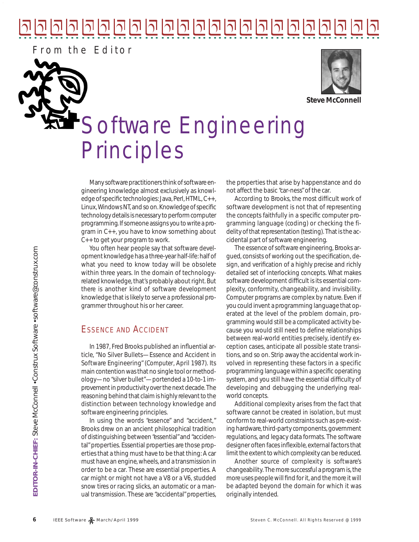## From the Editor

**Steve McConnell**

# Software Engineering **Principles**

Many software practitioners think of software engineering knowledge almost exclusively as knowledge of specific technologies: Java, Perl, HTML, C++, Linux, Windows NT, and so on. Knowledge of specific technology details is necessary to perform computer programming. If someone assigns you to write a program in C++, you have to know something about C++ to get your program to work.

You often hear people say that software development knowledge has a three-year half-life: half of what you need to know today will be obsolete within three years. In the domain of technologyrelated knowledge, that's probably about right. But there is another kind of software development knowledge that is likely to serve a professional programmer throughout his or her career.

### ESSENCE AND ACCIDENT

In 1987, Fred Brooks published an influential article, "No Silver Bullets—Essence and Accident in Software Engineering" (*Computer*, April 1987). Its main contention was that no single tool or methodology—no "silver bullet"—portended a 10-to-1 improvement in productivity over the next decade. The reasoning behind that claim is highly relevant to the distinction between technology knowledge and software engineering principles.

In using the words "essence" and "accident," Brooks drew on an ancient philosophical tradition of distinguishing between "essential"and "accidental" properties. Essential properties are those properties that a thing must have to be that thing: A car must have an engine, wheels, and a transmission in order to be a car. These are essential properties. A car might or might not have a V8 or a V6, studded snow tires or racing slicks, an automatic or a manual transmission. These are "accidental" properties,

the properties that arise by happenstance and do not affect the basic "car-ness" of the car.

According to Brooks, the most difficult work of software development is not that of representing the concepts faithfully in a specific computer programming language (coding) or checking the fidelity of that representation (testing). That is the accidental part of software engineering.

The essence of software engineering, Brooks argued, consists of working out the specification, design, and verification of a highly precise and richly detailed set of interlocking concepts. What makes software development difficult is its essential complexity, conformity, changeability, and invisibility. Computer programs are complex by nature. Even if you could invent a programming language that operated at the level of the problem domain, programming would still be a complicated activity because you would still need to define relationships between real-world entities precisely, identify exception cases, anticipate all possible state transitions, and so on. Strip away the accidental work involved in representing these factors in a specific programming language within a specific operating system, and you still have the essential difficulty of developing and debugging the underlying realworld concepts.

Additional complexity arises from the fact that software cannot be created in isolation, but must conform to real-world constraints such as pre-existing hardware, third-party components, government regulations, and legacy data formats. The software designer often faces inflexible, external factors that limit the extent to which complexity can be reduced.

Another source of complexity is software's changeability. The more successful a program is, the more uses people will find for it, and the more it will be adapted beyond the domain for which it was originally intended.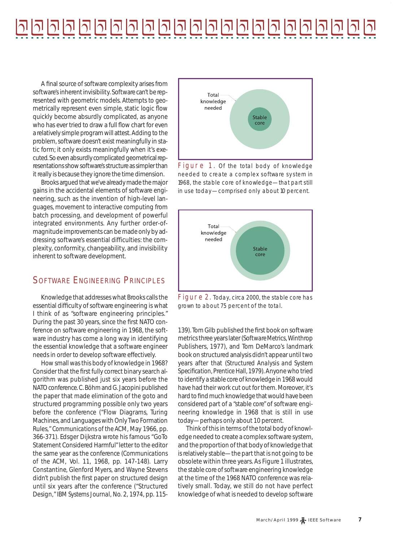A final source of software complexity arises from software's inherent invisibility. Software can't be represented with geometric models. Attempts to geometrically represent even simple, static logic flow quickly become absurdly complicated, as anyone who has ever tried to draw a full flow chart for even a relatively simple program will attest. Adding to the problem, software doesn't exist meaningfully in static form; it only exists meaningfully when it's executed. So even absurdly complicated geometrical representations show software's structure as simpler than it really is because they ignore the time dimension.

Brooks argued that we've already made the major gains in the accidental elements of software engineering, such as the invention of high-level languages, movement to interactive computing from batch processing, and development of powerful integrated environments. Any further order-ofmagnitude improvements can be made only by addressing software's essential difficulties: the complexity, conformity, changeability, and invisibility inherent to software development.

### SOFTWARE ENGINEERING PRINCIPLES

Knowledge that addresses what Brooks calls the essential difficulty of software engineering is what I think of as "software engineering principles." During the past 30 years, since the first NATO conference on software engineering in 1968, the software industry has come a long way in identifying the essential knowledge that a software engineer needs in order to develop software effectively.

How small was this body of knowledge in 1968? Consider that the first fully correct binary search algorithm was published just six years before the NATO conference. C. Böhm and G. Jacopini published the paper that made elimination of the goto and structured programming possible only two years before the conference ("Flow Diagrams, Turing Machines, and Languages with Only Two Formation Rules," *Communications of the ACM*, May 1966, pp. 366-371). Edsger Dijkstra wrote his famous "GoTo Statement Considered Harmful" letter to the editor the same year as the conference (*Communications of the ACM*, Vol. 11, 1968, pp. 147-148). Larry Constantine, Glenford Myers, and Wayne Stevens didn't publish the first paper on structured design until six years after the conference ("Structured Design,"*IBM Systems Journal*, No. 2, 1974, pp. 115-



Figure 1. Of the total body of knowledge needed to create a complex software system in 1968, the stable core of knowledge—that part still in use today—comprised only about 10 percent.



Figure 2. Today, circa 2000, the stable core has grown to about 75 percent of the total.

139). Tom Gilb published the first book on software metrics three years later (*Software Metrics*, Winthrop Publishers, 1977), and Tom DeMarco's landmark book on structured analysis didn't appear until two years after that (*Structured Analysis and System Specification*, Prentice Hall, 1979). Anyone who tried to identify a stable core of knowledge in 1968 would have had their work cut out for them. Moreover, it's hard to find much knowledge that would have been considered part of a "stable core" of software engineering knowledge in 1968 that is still in use today—perhaps only about 10 percent.

Think of this in terms of the total body of knowledge needed to create a complex software system, and the proportion of that body of knowledge that is relatively stable—the part that is not going to be obsolete within three years. As Figure 1 illustrates, the stable core of software engineering knowledge at the time of the 1968 NATO conference was relatively small. Today, we still do not have perfect knowledge of what is needed to develop software